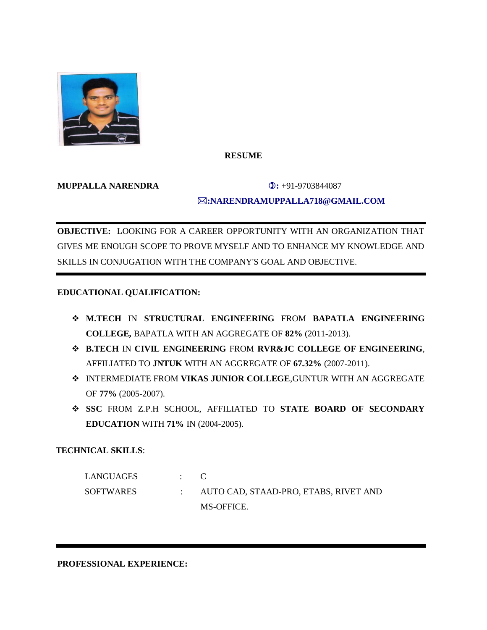

# **RESUME**

#### **MUPPALLA NARENDRA 3.**  $\bullet$  91-9703844087

# **:NARENDRAMUPPALLA718@GMAIL.COM**

**OBJECTIVE:** LOOKING FOR A CAREER OPPORTUNITY WITH AN ORGANIZATION THAT GIVES ME ENOUGH SCOPE TO PROVE MYSELF AND TO ENHANCE MY KNOWLEDGE AND SKILLS IN CONJUGATION WITH THE COMPANY'S GOAL AND OBJECTIVE.

# **EDUCATIONAL QUALIFICATION:**

- **M.TECH** IN **STRUCTURAL ENGINEERING** FROM **BAPATLA ENGINEERING COLLEGE,** BAPATLA WITH AN AGGREGATE OF **82%** (2011-2013).
- **B.TECH** IN **CIVIL ENGINEERING** FROM **RVR&JC COLLEGE OF ENGINEERING**, AFFILIATED TO **JNTUK** WITH AN AGGREGATE OF **67.32%** (2007-2011).
- INTERMEDIATE FROM **VIKAS JUNIOR COLLEGE**,GUNTUR WITH AN AGGREGATE OF **77%** (2005-2007).
- **SSC** FROM Z.P.H SCHOOL, AFFILIATED TO **STATE BOARD OF SECONDARY EDUCATION** WITH **71%** IN (2004-2005).

## **TECHNICAL SKILLS**:

 LANGUAGES : C SOFTWARES : AUTO CAD, STAAD-PRO, ETABS, RIVET AND MS-OFFICE.

**PROFESSIONAL EXPERIENCE:**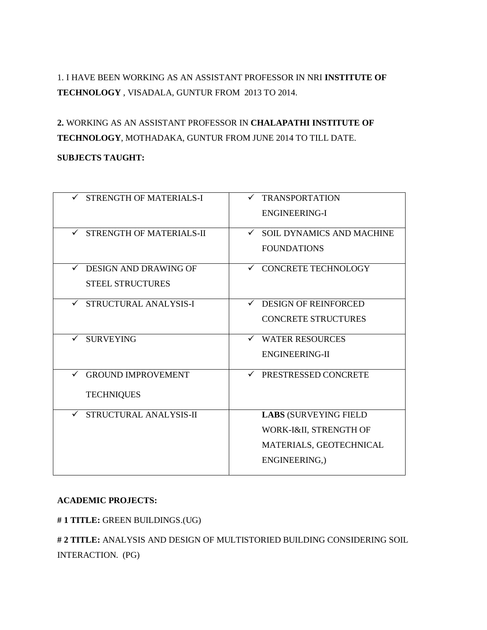1. I HAVE BEEN WORKING AS AN ASSISTANT PROFESSOR IN NRI **INSTITUTE OF TECHNOLOGY** , VISADALA, GUNTUR FROM 2013 TO 2014.

**2.** WORKING AS AN ASSISTANT PROFESSOR IN **CHALAPATHI INSTITUTE OF TECHNOLOGY**, MOTHADAKA, GUNTUR FROM JUNE 2014 TO TILL DATE.

## **SUBJECTS TAUGHT:**

| <b>STRENGTH OF MATERIALS-I</b>           | <b>TRANSPORTATION</b>                            |
|------------------------------------------|--------------------------------------------------|
|                                          | ENGINEERING-I                                    |
|                                          |                                                  |
| STRENGTH OF MATERIALS-II<br>$\checkmark$ | <b>SOIL DYNAMICS AND MACHINE</b><br>$\checkmark$ |
|                                          | <b>FOUNDATIONS</b>                               |
|                                          |                                                  |
| <b>DESIGN AND DRAWING OF</b><br>✓        | ✓ CONCRETE TECHNOLOGY                            |
| <b>STEEL STRUCTURES</b>                  |                                                  |
|                                          |                                                  |
| STRUCTURAL ANALYSIS-I<br>$\checkmark$    | <b>DESIGN OF REINFORCED</b><br>$\checkmark$      |
|                                          | <b>CONCRETE STRUCTURES</b>                       |
|                                          |                                                  |
| <b>SURVEYING</b><br>$\checkmark$         | <b>WATER RESOURCES</b><br>✓                      |
|                                          | <b>ENGINEERING-II</b>                            |
|                                          |                                                  |
| <b>GROUND IMPROVEMENT</b><br>✓           | ← PRESTRESSED CONCRETE                           |
|                                          |                                                  |
| <b>TECHNIQUES</b>                        |                                                  |
|                                          |                                                  |
| STRUCTURAL ANALYSIS-II<br>$\checkmark$   | <b>LABS (SURVEYING FIELD</b>                     |
|                                          | WORK-I&II, STRENGTH OF                           |
|                                          | MATERIALS, GEOTECHNICAL                          |
|                                          |                                                  |
|                                          | ENGINEERING,)                                    |
|                                          |                                                  |

#### **ACADEMIC PROJECTS:**

**# 1 TITLE:** GREEN BUILDINGS.(UG)

**# 2 TITLE:** ANALYSIS AND DESIGN OF MULTISTORIED BUILDING CONSIDERING SOIL INTERACTION. (PG)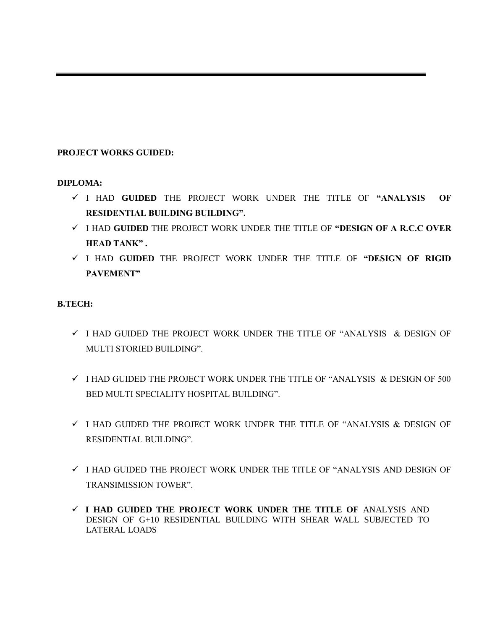# **PROJECT WORKS GUIDED:**

## **DIPLOMA:**

- I HAD **GUIDED** THE PROJECT WORK UNDER THE TITLE OF **"ANALYSIS OF RESIDENTIAL BUILDING BUILDING".**
- I HAD **GUIDED** THE PROJECT WORK UNDER THE TITLE OF **"DESIGN OF A R.C.C OVER HEAD TANK" .**
- I HAD **GUIDED** THE PROJECT WORK UNDER THE TITLE OF **"DESIGN OF RIGID PAVEMENT"**

# **B.TECH:**

- $\checkmark$  I HAD GUIDED THE PROJECT WORK UNDER THE TITLE OF "ANALYSIS  $\&$  DESIGN OF MULTI STORIED BUILDING".
- $\checkmark$  I HAD GUIDED THE PROJECT WORK UNDER THE TITLE OF "ANALYSIS  $\&$  DESIGN OF 500 BED MULTI SPECIALITY HOSPITAL BUILDING".
- $\checkmark$  I HAD GUIDED THE PROJECT WORK UNDER THE TITLE OF "ANALYSIS & DESIGN OF RESIDENTIAL BUILDING".
- $\checkmark$  I HAD GUIDED THE PROJECT WORK UNDER THE TITLE OF "ANALYSIS AND DESIGN OF TRANSIMISSION TOWER".
- **I HAD GUIDED THE PROJECT WORK UNDER THE TITLE OF** ANALYSIS AND DESIGN OF G+10 RESIDENTIAL BUILDING WITH SHEAR WALL SUBJECTED TO LATERAL LOADS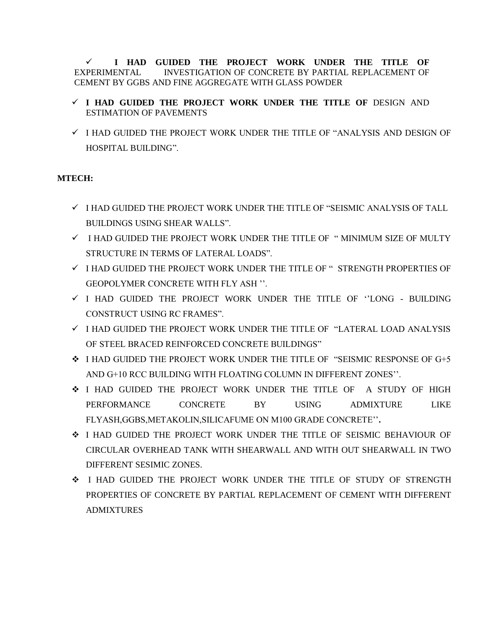**I HAD GUIDED THE PROJECT WORK UNDER THE TITLE OF** EXPERIMENTAL INVESTIGATION OF CONCRETE BY PARTIAL REPLACEMENT OF CEMENT BY GGBS AND FINE AGGREGATE WITH GLASS POWDER

# **I HAD GUIDED THE PROJECT WORK UNDER THE TITLE OF** DESIGN AND ESTIMATION OF PAVEMENTS

 $\checkmark$  I HAD GUIDED THE PROJECT WORK UNDER THE TITLE OF "ANALYSIS AND DESIGN OF HOSPITAL BUILDING".

# **MTECH:**

- $\checkmark$  I HAD GUIDED THE PROJECT WORK UNDER THE TITLE OF "SEISMIC ANALYSIS OF TALL BUILDINGS USING SHEAR WALLS".
- $\checkmark$  I HAD GUIDED THE PROJECT WORK UNDER THE TITLE OF " MINIMUM SIZE OF MULTY STRUCTURE IN TERMS OF LATERAL LOADS".
- $\checkmark$  I HAD GUIDED THE PROJECT WORK UNDER THE TITLE OF " STRENGTH PROPERTIES OF GEOPOLYMER CONCRETE WITH FLY ASH ''.
- $\checkmark$  I HAD GUIDED THE PROJECT WORK UNDER THE TITLE OF  $\dot{\cdot}$ LONG BUILDING CONSTRUCT USING RC FRAMES".
- $\checkmark$  I HAD GUIDED THE PROJECT WORK UNDER THE TITLE OF "LATERAL LOAD ANALYSIS OF STEEL BRACED REINFORCED CONCRETE BUILDINGS"
- I HAD GUIDED THE PROJECT WORK UNDER THE TITLE OF "SEISMIC RESPONSE OF G+5 AND G+10 RCC BUILDING WITH FLOATING COLUMN IN DIFFERENT ZONES''.
- I HAD GUIDED THE PROJECT WORK UNDER THE TITLE OF A STUDY OF HIGH PERFORMANCE CONCRETE BY USING ADMIXTURE LIKE FLYASH,GGBS,METAKOLIN,SILICAFUME ON M100 GRADE CONCRETE''**.**
- I HAD GUIDED THE PROJECT WORK UNDER THE TITLE OF SEISMIC BEHAVIOUR OF CIRCULAR OVERHEAD TANK WITH SHEARWALL AND WITH OUT SHEARWALL IN TWO DIFFERENT SESIMIC ZONES.
- I HAD GUIDED THE PROJECT WORK UNDER THE TITLE OF STUDY OF STRENGTH PROPERTIES OF CONCRETE BY PARTIAL REPLACEMENT OF CEMENT WITH DIFFERENT ADMIXTURES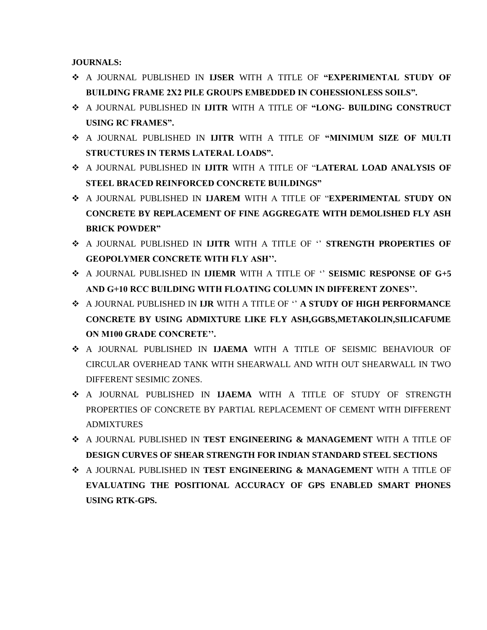**JOURNALS:**

- A JOURNAL PUBLISHED IN **IJSER** WITH A TITLE OF **"EXPERIMENTAL STUDY OF BUILDING FRAME 2X2 PILE GROUPS EMBEDDED IN COHESSIONLESS SOILS".**
- A JOURNAL PUBLISHED IN **IJITR** WITH A TITLE OF **"LONG- BUILDING CONSTRUCT USING RC FRAMES".**
- A JOURNAL PUBLISHED IN **IJITR** WITH A TITLE OF **"MINIMUM SIZE OF MULTI STRUCTURES IN TERMS LATERAL LOADS".**
- A JOURNAL PUBLISHED IN **IJITR** WITH A TITLE OF "**LATERAL LOAD ANALYSIS OF STEEL BRACED REINFORCED CONCRETE BUILDINGS"**
- A JOURNAL PUBLISHED IN **IJAREM** WITH A TITLE OF "**EXPERIMENTAL STUDY ON CONCRETE BY REPLACEMENT OF FINE AGGREGATE WITH DEMOLISHED FLY ASH BRICK POWDER"**
- A JOURNAL PUBLISHED IN **IJITR** WITH A TITLE OF '' **STRENGTH PROPERTIES OF GEOPOLYMER CONCRETE WITH FLY ASH''.**
- A JOURNAL PUBLISHED IN **IJIEMR** WITH A TITLE OF '' **SEISMIC RESPONSE OF G+5 AND G+10 RCC BUILDING WITH FLOATING COLUMN IN DIFFERENT ZONES''.**
- A JOURNAL PUBLISHED IN **IJR** WITH A TITLE OF '' **A STUDY OF HIGH PERFORMANCE CONCRETE BY USING ADMIXTURE LIKE FLY ASH,GGBS,METAKOLIN,SILICAFUME ON M100 GRADE CONCRETE''.**
- A JOURNAL PUBLISHED IN **IJAEMA** WITH A TITLE OF SEISMIC BEHAVIOUR OF CIRCULAR OVERHEAD TANK WITH SHEARWALL AND WITH OUT SHEARWALL IN TWO DIFFERENT SESIMIC ZONES.
- A JOURNAL PUBLISHED IN **IJAEMA** WITH A TITLE OF STUDY OF STRENGTH PROPERTIES OF CONCRETE BY PARTIAL REPLACEMENT OF CEMENT WITH DIFFERENT ADMIXTURES
- A JOURNAL PUBLISHED IN **TEST ENGINEERING & MANAGEMENT** WITH A TITLE OF **DESIGN CURVES OF SHEAR STRENGTH FOR INDIAN STANDARD STEEL SECTIONS**
- A JOURNAL PUBLISHED IN **TEST ENGINEERING & MANAGEMENT** WITH A TITLE OF **EVALUATING THE POSITIONAL ACCURACY OF GPS ENABLED SMART PHONES USING RTK-GPS.**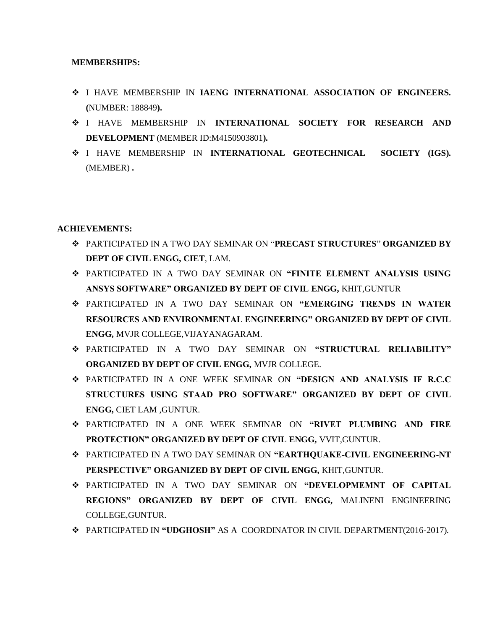#### **MEMBERSHIPS:**

- I HAVE MEMBERSHIP IN **IAENG INTERNATIONAL ASSOCIATION OF ENGINEERS. (**NUMBER: 188849**).**
- I HAVE MEMBERSHIP IN **INTERNATIONAL SOCIETY FOR RESEARCH AND DEVELOPMENT** (MEMBER ID:M4150903801**).**
- I HAVE MEMBERSHIP IN **INTERNATIONAL GEOTECHNICAL SOCIETY (IGS).**  (MEMBER) **.**

## **ACHIEVEMENTS:**

- PARTICIPATED IN A TWO DAY SEMINAR ON "**PRECAST STRUCTURES**" **ORGANIZED BY DEPT OF CIVIL ENGG, CIET**, LAM.
- PARTICIPATED IN A TWO DAY SEMINAR ON **"FINITE ELEMENT ANALYSIS USING ANSYS SOFTWARE" ORGANIZED BY DEPT OF CIVIL ENGG,** KHIT,GUNTUR
- PARTICIPATED IN A TWO DAY SEMINAR ON **"EMERGING TRENDS IN WATER RESOURCES AND ENVIRONMENTAL ENGINEERING" ORGANIZED BY DEPT OF CIVIL ENGG,** MVJR COLLEGE,VIJAYANAGARAM.
- PARTICIPATED IN A TWO DAY SEMINAR ON **"STRUCTURAL RELIABILITY" ORGANIZED BY DEPT OF CIVIL ENGG,** MVJR COLLEGE.
- PARTICIPATED IN A ONE WEEK SEMINAR ON **"DESIGN AND ANALYSIS IF R.C.C STRUCTURES USING STAAD PRO SOFTWARE" ORGANIZED BY DEPT OF CIVIL ENGG,** CIET LAM ,GUNTUR.
- PARTICIPATED IN A ONE WEEK SEMINAR ON **"RIVET PLUMBING AND FIRE PROTECTION" ORGANIZED BY DEPT OF CIVIL ENGG,** VVIT,GUNTUR.
- PARTICIPATED IN A TWO DAY SEMINAR ON **"EARTHQUAKE-CIVIL ENGINEERING-NT PERSPECTIVE" ORGANIZED BY DEPT OF CIVIL ENGG,** KHIT,GUNTUR.
- PARTICIPATED IN A TWO DAY SEMINAR ON **"DEVELOPMEMNT OF CAPITAL REGIONS" ORGANIZED BY DEPT OF CIVIL ENGG,** MALINENI ENGINEERING COLLEGE,GUNTUR.
- PARTICIPATED IN **"UDGHOSH"** AS ACOORDINATOR IN CIVIL DEPARTMENT(2016-2017).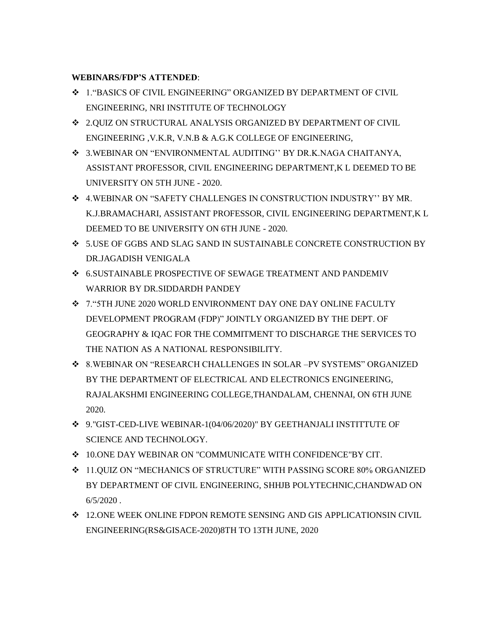## **WEBINARS/FDP'S ATTENDED**:

- 1."BASICS OF CIVIL ENGINEERING" ORGANIZED BY DEPARTMENT OF CIVIL ENGINEERING, NRI INSTITUTE OF TECHNOLOGY
- 2.QUIZ ON STRUCTURAL ANALYSIS ORGANIZED BY DEPARTMENT OF CIVIL ENGINEERING ,V.K.R, V.N.B & A.G.K COLLEGE OF ENGINEERING,
- 3.WEBINAR ON "ENVIRONMENTAL AUDITING'' BY DR.K.NAGA CHAITANYA, ASSISTANT PROFESSOR, CIVIL ENGINEERING DEPARTMENT,K L DEEMED TO BE UNIVERSITY ON 5TH JUNE - 2020.
- 4.WEBINAR ON "SAFETY CHALLENGES IN CONSTRUCTION INDUSTRY'' BY MR. K.J.BRAMACHARI, ASSISTANT PROFESSOR, CIVIL ENGINEERING DEPARTMENT,K L DEEMED TO BE UNIVERSITY ON 6TH JUNE - 2020.
- 5.USE OF GGBS AND SLAG SAND IN SUSTAINABLE CONCRETE CONSTRUCTION BY DR.JAGADISH VENIGALA
- 6.SUSTAINABLE PROSPECTIVE OF SEWAGE TREATMENT AND PANDEMIV WARRIOR BY DR.SIDDARDH PANDEY
- 7."5TH JUNE 2020 WORLD ENVIRONMENT DAY ONE DAY ONLINE FACULTY DEVELOPMENT PROGRAM (FDP)" JOINTLY ORGANIZED BY THE DEPT. OF GEOGRAPHY & IQAC FOR THE COMMITMENT TO DISCHARGE THE SERVICES TO THE NATION AS A NATIONAL RESPONSIBILITY.
- 8.WEBINAR ON "RESEARCH CHALLENGES IN SOLAR –PV SYSTEMS" ORGANIZED BY THE DEPARTMENT OF ELECTRICAL AND ELECTRONICS ENGINEERING, RAJALAKSHMI ENGINEERING COLLEGE,THANDALAM, CHENNAI, ON 6TH JUNE 2020.
- 9."GIST-CED-LIVE WEBINAR-1(04/06/2020)" BY GEETHANJALI INSTITTUTE OF SCIENCE AND TECHNOLOGY.
- 10.ONE DAY WEBINAR ON "COMMUNICATE WITH CONFIDENCE"BY CIT.
- 11.QUIZ ON "MECHANICS OF STRUCTURE" WITH PASSING SCORE 80% ORGANIZED BY DEPARTMENT OF CIVIL ENGINEERING, SHHJB POLYTECHNIC,CHANDWAD ON  $6/5/2020$ .
- 12.ONE WEEK ONLINE FDPON REMOTE SENSING AND GIS APPLICATIONSIN CIVIL ENGINEERING(RS&GISACE-2020)8TH TO 13TH JUNE, 2020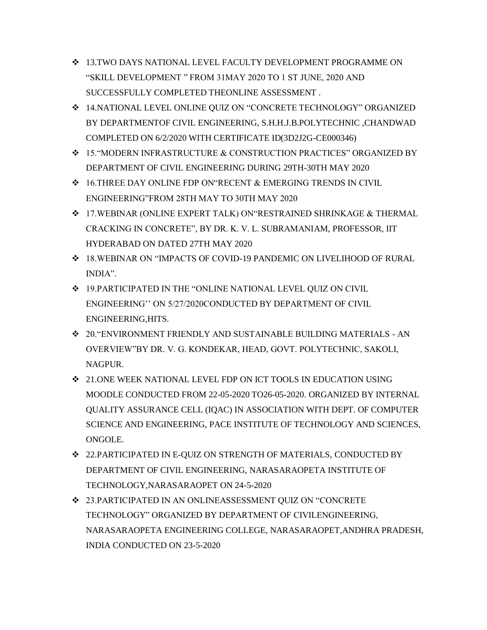- 13.TWO DAYS NATIONAL LEVEL FACULTY DEVELOPMENT PROGRAMME ON "SKILL DEVELOPMENT " FROM 31MAY 2020 TO 1 ST JUNE, 2020 AND SUCCESSFULLY COMPLETED THEONLINE ASSESSMENT .
- 14.NATIONAL LEVEL ONLINE QUIZ ON "CONCRETE TECHNOLOGY" ORGANIZED BY DEPARTMENTOF CIVIL ENGINEERING, S.H.H.J.B.POLYTECHNIC ,CHANDWAD COMPLETED ON 6/2/2020 WITH CERTIFICATE ID(3D2J2G-CE000346)
- 15."MODERN INFRASTRUCTURE & CONSTRUCTION PRACTICES" ORGANIZED BY DEPARTMENT OF CIVIL ENGINEERING DURING 29TH-30TH MAY 2020
- 16.THREE DAY ONLINE FDP ON"RECENT & EMERGING TRENDS IN CIVIL ENGINEERING"FROM 28TH MAY TO 30TH MAY 2020
- 17.WEBINAR (ONLINE EXPERT TALK) ON"RESTRAINED SHRINKAGE & THERMAL CRACKING IN CONCRETE", BY DR. K. V. L. SUBRAMANIAM, PROFESSOR, IIT HYDERABAD ON DATED 27TH MAY 2020
- 18.WEBINAR ON "IMPACTS OF COVID-19 PANDEMIC ON LIVELIHOOD OF RURAL INDIA".
- $\div$  19.PARTICIPATED IN THE "ONLINE NATIONAL LEVEL QUIZ ON CIVIL ENGINEERING'' ON 5/27/2020CONDUCTED BY DEPARTMENT OF CIVIL ENGINEERING,HITS.
- 20."ENVIRONMENT FRIENDLY AND SUSTAINABLE BUILDING MATERIALS AN OVERVIEW"BY DR. V. G. KONDEKAR, HEAD, GOVT. POLYTECHNIC, SAKOLI, NAGPUR.
- 21.ONE WEEK NATIONAL LEVEL FDP ON ICT TOOLS IN EDUCATION USING MOODLE CONDUCTED FROM 22-05-2020 TO26-05-2020. ORGANIZED BY INTERNAL QUALITY ASSURANCE CELL (IQAC) IN ASSOCIATION WITH DEPT. OF COMPUTER SCIENCE AND ENGINEERING, PACE INSTITUTE OF TECHNOLOGY AND SCIENCES, ONGOLE.
- 22.PARTICIPATED IN E-QUIZ ON STRENGTH OF MATERIALS, CONDUCTED BY DEPARTMENT OF CIVIL ENGINEERING, NARASARAOPETA INSTITUTE OF TECHNOLOGY,NARASARAOPET ON 24-5-2020
- 23.PARTICIPATED IN AN ONLINEASSESSMENT QUIZ ON "CONCRETE TECHNOLOGY" ORGANIZED BY DEPARTMENT OF CIVILENGINEERING, NARASARAOPETA ENGINEERING COLLEGE, NARASARAOPET,ANDHRA PRADESH, INDIA CONDUCTED ON 23-5-2020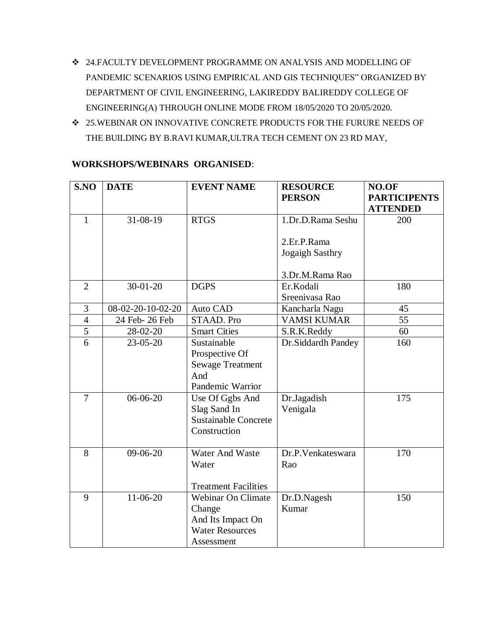- $\div$  24.FACULTY DEVELOPMENT PROGRAMME ON ANALYSIS AND MODELLING OF PANDEMIC SCENARIOS USING EMPIRICAL AND GIS TECHNIQUES" ORGANIZED BY DEPARTMENT OF CIVIL ENGINEERING, LAKIREDDY BALIREDDY COLLEGE OF ENGINEERING(A) THROUGH ONLINE MODE FROM 18/05/2020 TO 20/05/2020.
- $\div$  25.WEBINAR ON INNOVATIVE CONCRETE PRODUCTS FOR THE FURURE NEEDS OF THE BUILDING BY B.RAVI KUMAR,ULTRA TECH CEMENT ON 23 RD MAY,

| S.NO           | <b>DATE</b>       | <b>EVENT NAME</b>                                                                                | <b>RESOURCE</b><br><b>PERSON</b> | NO.OF<br><b>PARTICIPENTS</b><br><b>ATTENDED</b> |
|----------------|-------------------|--------------------------------------------------------------------------------------------------|----------------------------------|-------------------------------------------------|
| $\mathbf{1}$   | $31 - 08 - 19$    | <b>RTGS</b>                                                                                      | 1.Dr.D.Rama Seshu                | 200                                             |
|                |                   |                                                                                                  | 2.Er.P.Rama<br>Jogaigh Sasthry   |                                                 |
|                |                   |                                                                                                  | 3.Dr.M.Rama Rao                  |                                                 |
| $\overline{2}$ | $30 - 01 - 20$    | <b>DGPS</b>                                                                                      | Er.Kodali<br>Sreenivasa Rao      | 180                                             |
| 3              | 08-02-20-10-02-20 | Auto CAD                                                                                         | Kancharla Nagu                   | 45                                              |
| $\overline{4}$ | 24 Feb- 26 Feb    | <b>STAAD. Pro</b>                                                                                | <b>VAMSI KUMAR</b>               | $\overline{55}$                                 |
| 5              | 28-02-20          | <b>Smart Cities</b>                                                                              | S.R.K.Reddy                      | 60                                              |
| 6              | $23 - 05 - 20$    | Sustainable<br>Prospective Of<br><b>Sewage Treatment</b><br>And<br>Pandemic Warrior              | Dr.Siddardh Pandey               | 160                                             |
| $\overline{7}$ | $06-06-20$        | Use Of Ggbs And<br>Slag Sand In<br><b>Sustainable Concrete</b><br>Construction                   | Dr.Jagadish<br>Venigala          | 175                                             |
| 8              | $09-06-20$        | Water And Waste<br>Water<br><b>Treatment Facilities</b>                                          | Dr.P.Venkateswara<br>Rao         | 170                                             |
| 9              | $11-06-20$        | <b>Webinar On Climate</b><br>Change<br>And Its Impact On<br><b>Water Resources</b><br>Assessment | Dr.D.Nagesh<br>Kumar             | 150                                             |

# **WORKSHOPS/WEBINARS ORGANISED**: